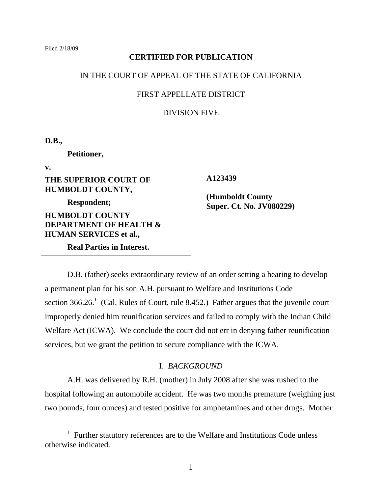# **CERTIFIED FOR PUBLICATION**

### IN THE COURT OF APPEAL OF THE STATE OF CALIFORNIA

# FIRST APPELLATE DISTRICT

# DIVISION FIVE

**D.B.,**

**Petitioner,**

**v.**

 $\overline{a}$ 

**THE SUPERIOR COURT OF HUMBOLDT COUNTY,**

**Respondent;**

**HUMBOLDT COUNTY DEPARTMENT OF HEALTH & HUMAN SERVICES et al.,**

**Real Parties in Interest.**

 **A123439**

 **(Humboldt County Super. Ct. No. JV080229)**

D.B. (father) seeks extraordinary review of an order setting a hearing to develop a permanent plan for his son A.H. pursuant to Welfare and Institutions Code section  $366.26$ <sup>1</sup> (Cal. Rules of Court, rule 8.452.) Father argues that the juvenile court improperly denied him reunification services and failed to comply with the Indian Child Welfare Act (ICWA). We conclude the court did not err in denying father reunification services, but we grant the petition to secure compliance with the ICWA.

# I. *BACKGROUND*

A.H. was delivered by R.H. (mother) in July 2008 after she was rushed to the hospital following an automobile accident. He was two months premature (weighing just two pounds, four ounces) and tested positive for amphetamines and other drugs. Mother

<sup>&</sup>lt;sup>1</sup> Further statutory references are to the Welfare and Institutions Code unless otherwise indicated.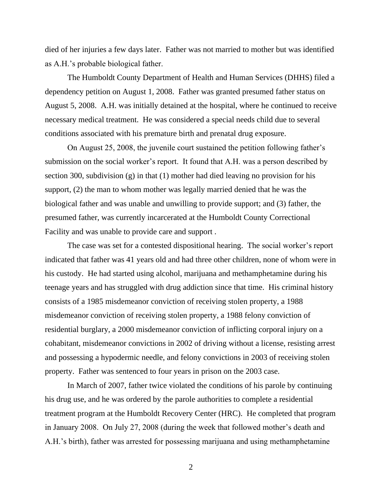died of her injuries a few days later. Father was not married to mother but was identified as A.H."s probable biological father.

The Humboldt County Department of Health and Human Services (DHHS) filed a dependency petition on August 1, 2008. Father was granted presumed father status on August 5, 2008. A.H. was initially detained at the hospital, where he continued to receive necessary medical treatment. He was considered a special needs child due to several conditions associated with his premature birth and prenatal drug exposure.

On August 25, 2008, the juvenile court sustained the petition following father"s submission on the social worker's report. It found that A.H. was a person described by section 300, subdivision (g) in that (1) mother had died leaving no provision for his support, (2) the man to whom mother was legally married denied that he was the biological father and was unable and unwilling to provide support; and (3) father, the presumed father, was currently incarcerated at the Humboldt County Correctional Facility and was unable to provide care and support .

The case was set for a contested dispositional hearing. The social worker's report indicated that father was 41 years old and had three other children, none of whom were in his custody. He had started using alcohol, marijuana and methamphetamine during his teenage years and has struggled with drug addiction since that time. His criminal history consists of a 1985 misdemeanor conviction of receiving stolen property, a 1988 misdemeanor conviction of receiving stolen property, a 1988 felony conviction of residential burglary, a 2000 misdemeanor conviction of inflicting corporal injury on a cohabitant, misdemeanor convictions in 2002 of driving without a license, resisting arrest and possessing a hypodermic needle, and felony convictions in 2003 of receiving stolen property. Father was sentenced to four years in prison on the 2003 case.

In March of 2007, father twice violated the conditions of his parole by continuing his drug use, and he was ordered by the parole authorities to complete a residential treatment program at the Humboldt Recovery Center (HRC). He completed that program in January 2008. On July 27, 2008 (during the week that followed mother"s death and A.H."s birth), father was arrested for possessing marijuana and using methamphetamine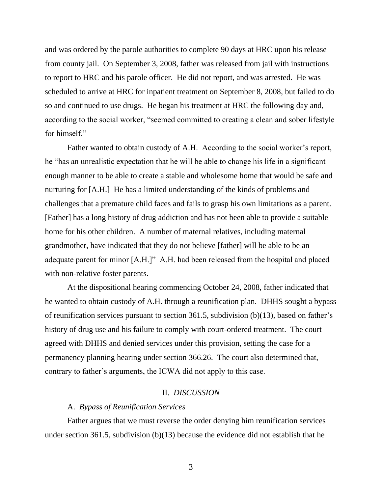and was ordered by the parole authorities to complete 90 days at HRC upon his release from county jail. On September 3, 2008, father was released from jail with instructions to report to HRC and his parole officer. He did not report, and was arrested. He was scheduled to arrive at HRC for inpatient treatment on September 8, 2008, but failed to do so and continued to use drugs. He began his treatment at HRC the following day and, according to the social worker, "seemed committed to creating a clean and sober lifestyle for himself"

Father wanted to obtain custody of A.H. According to the social worker's report, he "has an unrealistic expectation that he will be able to change his life in a significant enough manner to be able to create a stable and wholesome home that would be safe and nurturing for [A.H.] He has a limited understanding of the kinds of problems and challenges that a premature child faces and fails to grasp his own limitations as a parent. [Father] has a long history of drug addiction and has not been able to provide a suitable home for his other children. A number of maternal relatives, including maternal grandmother, have indicated that they do not believe [father] will be able to be an adequate parent for minor [A.H.]" A.H. had been released from the hospital and placed with non-relative foster parents.

At the dispositional hearing commencing October 24, 2008, father indicated that he wanted to obtain custody of A.H. through a reunification plan. DHHS sought a bypass of reunification services pursuant to section 361.5, subdivision  $(b)(13)$ , based on father's history of drug use and his failure to comply with court-ordered treatment. The court agreed with DHHS and denied services under this provision, setting the case for a permanency planning hearing under section 366.26. The court also determined that, contrary to father"s arguments, the ICWA did not apply to this case.

### II. *DISCUSSION*

### A. *Bypass of Reunification Services*

Father argues that we must reverse the order denying him reunification services under section 361.5, subdivision  $(b)(13)$  because the evidence did not establish that he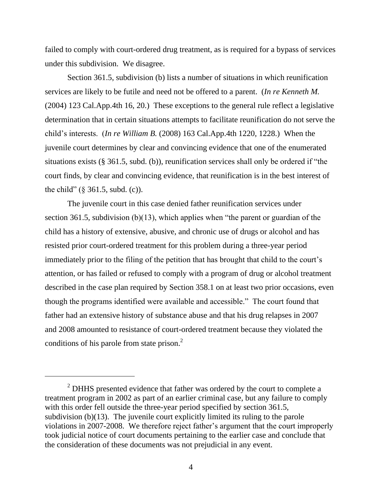failed to comply with court-ordered drug treatment, as is required for a bypass of services under this subdivision. We disagree.

Section 361.5, subdivision (b) lists a number of situations in which reunification services are likely to be futile and need not be offered to a parent. (*In re Kenneth M.* (2004) 123 Cal.App.4th 16, 20.) These exceptions to the general rule reflect a legislative determination that in certain situations attempts to facilitate reunification do not serve the child"s interests. (*In re William B.* (2008) 163 Cal.App.4th 1220, 1228.) When the juvenile court determines by clear and convincing evidence that one of the enumerated situations exists (§ 361.5, subd. (b)), reunification services shall only be ordered if "the court finds, by clear and convincing evidence, that reunification is in the best interest of the child" (§ 361.5, subd. (c)).

The juvenile court in this case denied father reunification services under section 361.5, subdivision (b)(13), which applies when "the parent or guardian of the child has a history of extensive, abusive, and chronic use of drugs or alcohol and has resisted prior court-ordered treatment for this problem during a three-year period immediately prior to the filing of the petition that has brought that child to the court's attention, or has failed or refused to comply with a program of drug or alcohol treatment described in the case plan required by Section 358.1 on at least two prior occasions, even though the programs identified were available and accessible." The court found that father had an extensive history of substance abuse and that his drug relapses in 2007 and 2008 amounted to resistance of court-ordered treatment because they violated the conditions of his parole from state prison. $<sup>2</sup>$ </sup>

 $2$  DHHS presented evidence that father was ordered by the court to complete a treatment program in 2002 as part of an earlier criminal case, but any failure to comply with this order fell outside the three-year period specified by section 361.5, subdivision (b)(13). The juvenile court explicitly limited its ruling to the parole violations in 2007-2008. We therefore reject father"s argument that the court improperly took judicial notice of court documents pertaining to the earlier case and conclude that the consideration of these documents was not prejudicial in any event.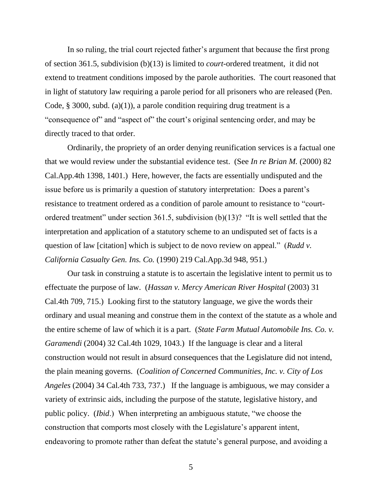In so ruling, the trial court rejected father's argument that because the first prong of section 361.5, subdivision (b)(13) is limited to *court*-ordered treatment, it did not extend to treatment conditions imposed by the parole authorities. The court reasoned that in light of statutory law requiring a parole period for all prisoners who are released (Pen. Code,  $\S$  3000, subd. (a)(1)), a parole condition requiring drug treatment is a "consequence of" and "aspect of" the court's original sentencing order, and may be directly traced to that order.

Ordinarily, the propriety of an order denying reunification services is a factual one that we would review under the substantial evidence test. (See *In re Brian M.* (2000) 82 Cal.App.4th 1398, 1401.) Here, however, the facts are essentially undisputed and the issue before us is primarily a question of statutory interpretation: Does a parent's resistance to treatment ordered as a condition of parole amount to resistance to "courtordered treatment" under section 361.5, subdivision (b)(13)? "It is well settled that the interpretation and application of a statutory scheme to an undisputed set of facts is a question of law [citation] which is subject to de novo review on appeal." (*Rudd v. California Casualty Gen. Ins. Co.* (1990) 219 Cal.App.3d 948, 951.)

Our task in construing a statute is to ascertain the legislative intent to permit us to effectuate the purpose of law. (*Hassan v. Mercy American River Hospital* (2003) 31 Cal.4th 709, 715.) Looking first to the statutory language, we give the words their ordinary and usual meaning and construe them in the context of the statute as a whole and the entire scheme of law of which it is a part. (*State Farm Mutual Automobile Ins. Co. v. Garamendi* (2004) 32 Cal.4th 1029, 1043.) If the language is clear and a literal construction would not result in absurd consequences that the Legislature did not intend, the plain meaning governs. (*Coalition of Concerned Communities, Inc. v. City of Los Angeles* (2004) 34 Cal.4th 733, 737.) If the language is ambiguous, we may consider a variety of extrinsic aids, including the purpose of the statute, legislative history, and public policy. (*Ibid*.) When interpreting an ambiguous statute, "we choose the construction that comports most closely with the Legislature's apparent intent, endeavoring to promote rather than defeat the statute's general purpose, and avoiding a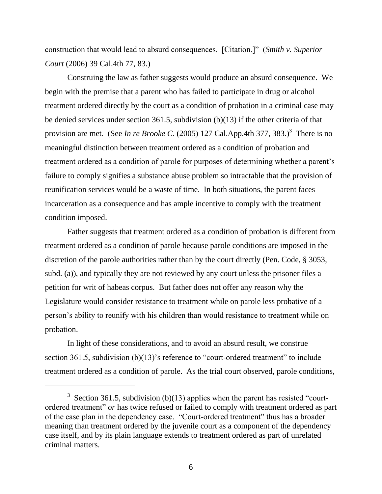construction that would lead to absurd consequences. [Citation.]" (*Smith v. Superior Court* (2006) 39 Cal.4th 77, 83.)

Construing the law as father suggests would produce an absurd consequence. We begin with the premise that a parent who has failed to participate in drug or alcohol treatment ordered directly by the court as a condition of probation in a criminal case may be denied services under section 361.5, subdivision (b)(13) if the other criteria of that provision are met. (See *In re Brooke C*. (2005) 127 Cal.App.4th 377, 383.)<sup>3</sup> There is no meaningful distinction between treatment ordered as a condition of probation and treatment ordered as a condition of parole for purposes of determining whether a parent"s failure to comply signifies a substance abuse problem so intractable that the provision of reunification services would be a waste of time. In both situations, the parent faces incarceration as a consequence and has ample incentive to comply with the treatment condition imposed.

Father suggests that treatment ordered as a condition of probation is different from treatment ordered as a condition of parole because parole conditions are imposed in the discretion of the parole authorities rather than by the court directly (Pen. Code, § 3053, subd. (a)), and typically they are not reviewed by any court unless the prisoner files a petition for writ of habeas corpus. But father does not offer any reason why the Legislature would consider resistance to treatment while on parole less probative of a person"s ability to reunify with his children than would resistance to treatment while on probation.

In light of these considerations, and to avoid an absurd result, we construe section 361.5, subdivision  $(b)(13)$ 's reference to "court-ordered treatment" to include treatment ordered as a condition of parole. As the trial court observed, parole conditions,

 $\overline{a}$ 

<sup>&</sup>lt;sup>3</sup> Section 361.5, subdivision (b)(13) applies when the parent has resisted "courtordered treatment" *or* has twice refused or failed to comply with treatment ordered as part of the case plan in the dependency case. "Court-ordered treatment" thus has a broader meaning than treatment ordered by the juvenile court as a component of the dependency case itself, and by its plain language extends to treatment ordered as part of unrelated criminal matters.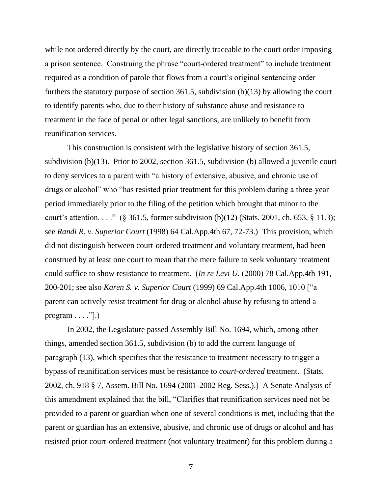while not ordered directly by the court, are directly traceable to the court order imposing a prison sentence. Construing the phrase "court-ordered treatment" to include treatment required as a condition of parole that flows from a court's original sentencing order furthers the statutory purpose of section 361.5, subdivision (b)(13) by allowing the court to identify parents who, due to their history of substance abuse and resistance to treatment in the face of penal or other legal sanctions, are unlikely to benefit from reunification services.

This construction is consistent with the legislative history of section 361.5, subdivision (b)(13). Prior to 2002, section 361.5, subdivision (b) allowed a juvenile court to deny services to a parent with "a history of extensive, abusive, and chronic use of drugs or alcohol" who "has resisted prior treatment for this problem during a three-year period immediately prior to the filing of the petition which brought that minor to the court's attention. . . ." (§ 361.5, former subdivision (b)(12) (Stats. 2001, ch. 653, § 11.3); see *Randi R. v. Superior Court* (1998) 64 Cal.App.4th 67, 72-73.) This provision, which did not distinguish between court-ordered treatment and voluntary treatment, had been construed by at least one court to mean that the mere failure to seek voluntary treatment could suffice to show resistance to treatment. (*In re Levi U.* (2000) 78 Cal.App.4th 191, 200-201; see also *Karen S. v. Superior Court* (1999) 69 Cal.App.4th 1006, 1010 ["a parent can actively resist treatment for drug or alcohol abuse by refusing to attend a program  $\dots$  ."].)

In 2002, the Legislature passed Assembly Bill No. 1694, which, among other things, amended section 361.5, subdivision (b) to add the current language of paragraph (13), which specifies that the resistance to treatment necessary to trigger a bypass of reunification services must be resistance to *court-ordered* treatment. (Stats. 2002, ch. 918 § 7, Assem. Bill No. 1694 (2001-2002 Reg. Sess.).) A Senate Analysis of this amendment explained that the bill, "Clarifies that reunification services need not be provided to a parent or guardian when one of several conditions is met, including that the parent or guardian has an extensive, abusive, and chronic use of drugs or alcohol and has resisted prior court-ordered treatment (not voluntary treatment) for this problem during a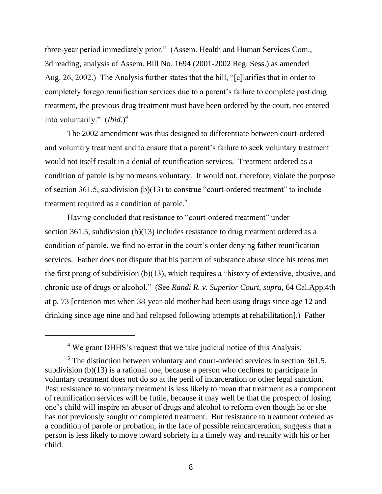three-year period immediately prior." (Assem. Health and Human Services Com., 3d reading, analysis of Assem. Bill No. 1694 (2001-2002 Reg. Sess.) as amended Aug. 26, 2002.) The Analysis further states that the bill, "[c]larifies that in order to completely forego reunification services due to a parent"s failure to complete past drug treatment, the previous drug treatment must have been ordered by the court, not entered into voluntarily." (*Ibid*.)<sup>4</sup>

The 2002 amendment was thus designed to differentiate between court-ordered and voluntary treatment and to ensure that a parent"s failure to seek voluntary treatment would not itself result in a denial of reunification services. Treatment ordered as a condition of parole is by no means voluntary. It would not, therefore, violate the purpose of section 361.5, subdivision (b)(13) to construe "court-ordered treatment" to include treatment required as a condition of parole. $5$ 

Having concluded that resistance to "court-ordered treatment" under section 361.5, subdivision (b)(13) includes resistance to drug treatment ordered as a condition of parole, we find no error in the court's order denying father reunification services. Father does not dispute that his pattern of substance abuse since his teens met the first prong of subdivision (b)(13), which requires a "history of extensive, abusive, and chronic use of drugs or alcohol." (See *Randi R. v. Superior Court, supra*, 64 Cal.App.4th at p. 73 [criterion met when 38-year-old mother had been using drugs since age 12 and drinking since age nine and had relapsed following attempts at rehabilitation].) Father

 $\overline{a}$ 

<sup>4</sup> We grant DHHS"s request that we take judicial notice of this Analysis.

 $<sup>5</sup>$  The distinction between voluntary and court-ordered services in section 361.5,</sup> subdivision (b)(13) is a rational one, because a person who declines to participate in voluntary treatment does not do so at the peril of incarceration or other legal sanction. Past resistance to voluntary treatment is less likely to mean that treatment as a component of reunification services will be futile, because it may well be that the prospect of losing one"s child will inspire an abuser of drugs and alcohol to reform even though he or she has not previously sought or completed treatment. But resistance to treatment ordered as a condition of parole or probation, in the face of possible reincarceration, suggests that a person is less likely to move toward sobriety in a timely way and reunify with his or her child.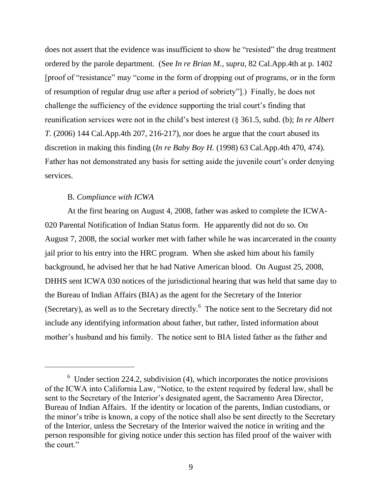does not assert that the evidence was insufficient to show he "resisted" the drug treatment ordered by the parole department. (See *In re Brian M.*, *supra,* 82 Cal.App.4th at p. 1402 [proof of "resistance" may "come in the form of dropping out of programs, or in the form of resumption of regular drug use after a period of sobriety"].) Finally, he does not challenge the sufficiency of the evidence supporting the trial court"s finding that reunification services were not in the child"s best interest (§ 361.5, subd. (b); *In re Albert T.* (2006) 144 Cal.App.4th 207, 216-217), nor does he argue that the court abused its discretion in making this finding (*In re Baby Boy H.* (1998) 63 Cal.App.4th 470, 474). Father has not demonstrated any basis for setting aside the juvenile court's order denying services.

#### B. *Compliance with ICWA*

At the first hearing on August 4, 2008, father was asked to complete the ICWA-020 Parental Notification of Indian Status form. He apparently did not do so. On August 7, 2008, the social worker met with father while he was incarcerated in the county jail prior to his entry into the HRC program. When she asked him about his family background, he advised her that he had Native American blood. On August 25, 2008, DHHS sent ICWA 030 notices of the jurisdictional hearing that was held that same day to the Bureau of Indian Affairs (BIA) as the agent for the Secretary of the Interior (Secretary), as well as to the Secretary directly. $6$  The notice sent to the Secretary did not include any identifying information about father, but rather, listed information about mother"s husband and his family. The notice sent to BIA listed father as the father and

 $6$  Under section 224.2, subdivision (4), which incorporates the notice provisions of the ICWA into California Law, "Notice, to the extent required by federal law, shall be sent to the Secretary of the Interior's designated agent, the Sacramento Area Director, Bureau of Indian Affairs. If the identity or location of the parents, Indian custodians, or the minor"s tribe is known, a copy of the notice shall also be sent directly to the Secretary of the Interior, unless the Secretary of the Interior waived the notice in writing and the person responsible for giving notice under this section has filed proof of the waiver with the court."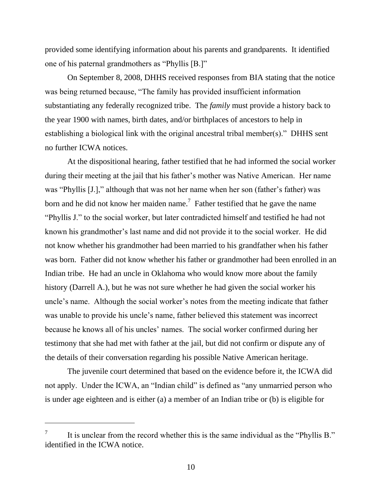provided some identifying information about his parents and grandparents. It identified one of his paternal grandmothers as "Phyllis [B.]"

On September 8, 2008, DHHS received responses from BIA stating that the notice was being returned because, "The family has provided insufficient information substantiating any federally recognized tribe. The *family* must provide a history back to the year 1900 with names, birth dates, and/or birthplaces of ancestors to help in establishing a biological link with the original ancestral tribal member(s)." DHHS sent no further ICWA notices.

At the dispositional hearing, father testified that he had informed the social worker during their meeting at the jail that his father"s mother was Native American. Her name was "Phyllis [J.]," although that was not her name when her son (father's father) was born and he did not know her maiden name.<sup>7</sup> Father testified that he gave the name "Phyllis J." to the social worker, but later contradicted himself and testified he had not known his grandmother"s last name and did not provide it to the social worker. He did not know whether his grandmother had been married to his grandfather when his father was born. Father did not know whether his father or grandmother had been enrolled in an Indian tribe. He had an uncle in Oklahoma who would know more about the family history (Darrell A.), but he was not sure whether he had given the social worker his uncle's name. Although the social worker's notes from the meeting indicate that father was unable to provide his uncle's name, father believed this statement was incorrect because he knows all of his uncles" names. The social worker confirmed during her testimony that she had met with father at the jail, but did not confirm or dispute any of the details of their conversation regarding his possible Native American heritage.

The juvenile court determined that based on the evidence before it, the ICWA did not apply. Under the ICWA, an "Indian child" is defined as "any unmarried person who is under age eighteen and is either (a) a member of an Indian tribe or (b) is eligible for

 $\overline{a}$ 

<sup>7</sup> It is unclear from the record whether this is the same individual as the "Phyllis B." identified in the ICWA notice.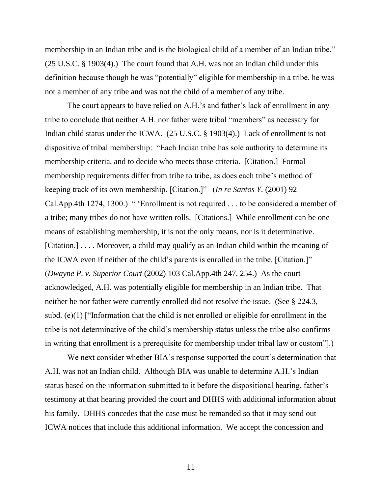membership in an Indian tribe and is the biological child of a member of an Indian tribe." (25 U.S.C. § 1903(4).) The court found that A.H. was not an Indian child under this definition because though he was "potentially" eligible for membership in a tribe, he was not a member of any tribe and was not the child of a member of any tribe.

The court appears to have relied on A.H.'s and father's lack of enrollment in any tribe to conclude that neither A.H. nor father were tribal "members" as necessary for Indian child status under the ICWA. (25 U.S.C. § 1903(4).) Lack of enrollment is not dispositive of tribal membership: "Each Indian tribe has sole authority to determine its membership criteria, and to decide who meets those criteria. [Citation.] Formal membership requirements differ from tribe to tribe, as does each tribe's method of keeping track of its own membership. [Citation.]" (*In re Santos Y.* (2001) 92 Cal.App.4th 1274, 1300.) " 'Enrollment is not required . . . to be considered a member of a tribe; many tribes do not have written rolls. [Citations.] While enrollment can be one means of establishing membership, it is not the only means, nor is it determinative. [Citation.] . . . . Moreover, a child may qualify as an Indian child within the meaning of the ICWA even if neither of the child"s parents is enrolled in the tribe. [Citation.]" (*Dwayne P. v. Superior Court* (2002) 103 Cal.App.4th 247, 254.) As the court acknowledged, A.H. was potentially eligible for membership in an Indian tribe. That neither he nor father were currently enrolled did not resolve the issue. (See § 224.3, subd. (e)(1) ["Information that the child is not enrolled or eligible for enrollment in the tribe is not determinative of the child"s membership status unless the tribe also confirms in writing that enrollment is a prerequisite for membership under tribal law or custom"].)

We next consider whether BIA's response supported the court's determination that A.H. was not an Indian child. Although BIA was unable to determine A.H."s Indian status based on the information submitted to it before the dispositional hearing, father"s testimony at that hearing provided the court and DHHS with additional information about his family. DHHS concedes that the case must be remanded so that it may send out ICWA notices that include this additional information. We accept the concession and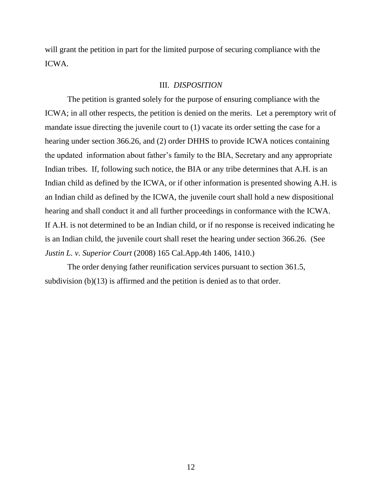will grant the petition in part for the limited purpose of securing compliance with the ICWA.

#### III. *DISPOSITION*

The petition is granted solely for the purpose of ensuring compliance with the ICWA; in all other respects, the petition is denied on the merits. Let a peremptory writ of mandate issue directing the juvenile court to (1) vacate its order setting the case for a hearing under section 366.26, and (2) order DHHS to provide ICWA notices containing the updated information about father"s family to the BIA, Secretary and any appropriate Indian tribes. If, following such notice, the BIA or any tribe determines that A.H. is an Indian child as defined by the ICWA, or if other information is presented showing A.H. is an Indian child as defined by the ICWA, the juvenile court shall hold a new dispositional hearing and shall conduct it and all further proceedings in conformance with the ICWA. If A.H. is not determined to be an Indian child, or if no response is received indicating he is an Indian child, the juvenile court shall reset the hearing under section 366.26. (See *Justin L. v. Superior Court* (2008) 165 Cal.App.4th 1406, 1410.)

The order denying father reunification services pursuant to section 361.5, subdivision (b)(13) is affirmed and the petition is denied as to that order.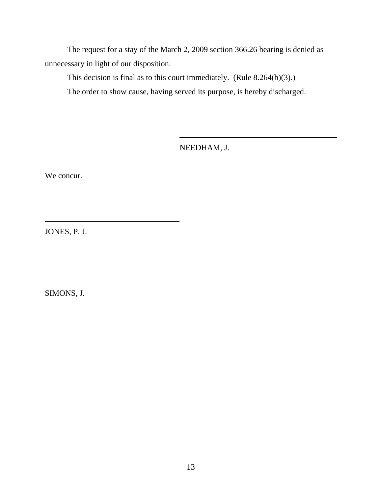The request for a stay of the March 2, 2009 section 366.26 hearing is denied as unnecessary in light of our disposition.

This decision is final as to this court immediately. (Rule 8.264(b)(3).) The order to show cause, having served its purpose, is hereby discharged.

NEEDHAM, J.

We concur.

JONES, P. J.

SIMONS, J.